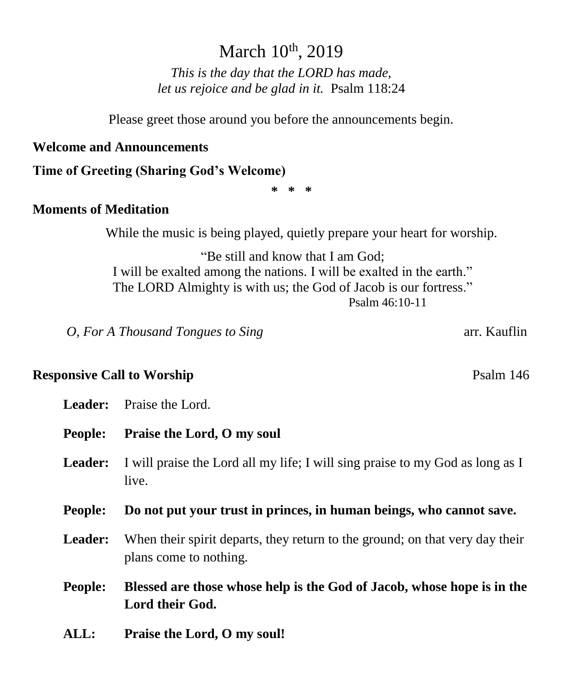## March  $10^{th}$ ,  $2019$

*This is the day that the LORD has made, let us rejoice and be glad in it.* Psalm 118:24

Please greet those around you before the announcements begin.

#### **Welcome and Announcements**

#### **Time of Greeting (Sharing God's Welcome)**

**\* \* \***

#### **Moments of Meditation**

While the music is being played, quietly prepare your heart for worship.

"Be still and know that I am God; I will be exalted among the nations. I will be exalted in the earth." The LORD Almighty is with us; the God of Jacob is our fortress." Psalm 46:10-11

*O, For A Thousand Tongues to Sing* and the same of the same start. Kaufling the same start of the same of the same start of the same start of the same start of the same start of the same start of the same start of the sam

#### **Responsive Call to Worship** Psalm 146

**Leader:** Praise the Lord.

- **People: Praise the Lord, O my soul**
- **Leader:** I will praise the Lord all my life; I will sing praise to my God as long as I live.
- **People: Do not put your trust in princes, in human beings, who cannot save.**
- Leader: When their spirit departs, they return to the ground; on that very day their plans come to nothing.

**People: Blessed are those whose help is the God of Jacob, whose hope is in the Lord their God.**

**ALL: Praise the Lord, O my soul!**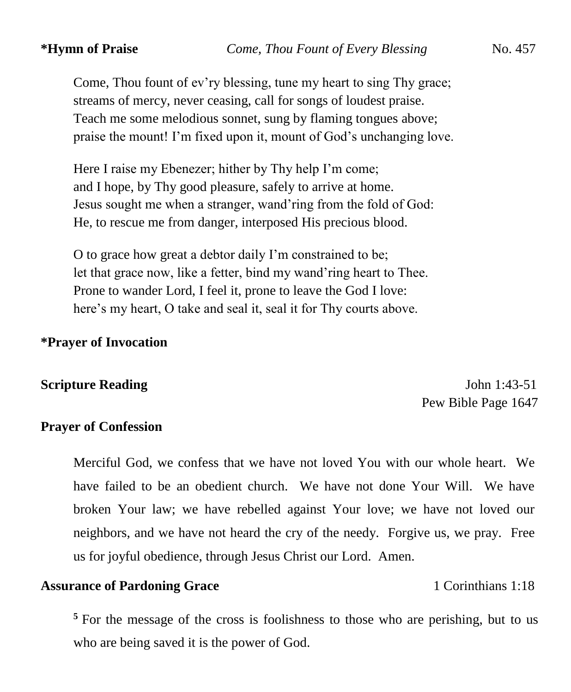Come, Thou fount of ev'ry blessing, tune my heart to sing Thy grace; streams of mercy, never ceasing, call for songs of loudest praise. Teach me some melodious sonnet, sung by flaming tongues above; praise the mount! I'm fixed upon it, mount of God's unchanging love.

Here I raise my Ebenezer; hither by Thy help I'm come; and I hope, by Thy good pleasure, safely to arrive at home. Jesus sought me when a stranger, wand'ring from the fold of God: He, to rescue me from danger, interposed His precious blood.

O to grace how great a debtor daily I'm constrained to be; let that grace now, like a fetter, bind my wand'ring heart to Thee. Prone to wander Lord, I feel it, prone to leave the God I love: here's my heart, O take and seal it, seal it for Thy courts above.

#### **\*Prayer of Invocation**

**Scripture Reading** John 1:43-51 Pew Bible Page 1647

#### **Prayer of Confession**

Merciful God, we confess that we have not loved You with our whole heart. We have failed to be an obedient church. We have not done Your Will. We have broken Your law; we have rebelled against Your love; we have not loved our neighbors, and we have not heard the cry of the needy. Forgive us, we pray. Free us for joyful obedience, through Jesus Christ our Lord. Amen.

#### Assurance of Pardoning Grace 1 Corinthians 1:18

**<sup>5</sup>** For the message of the cross is foolishness to those who are perishing, but to us who are being saved it is the power of God.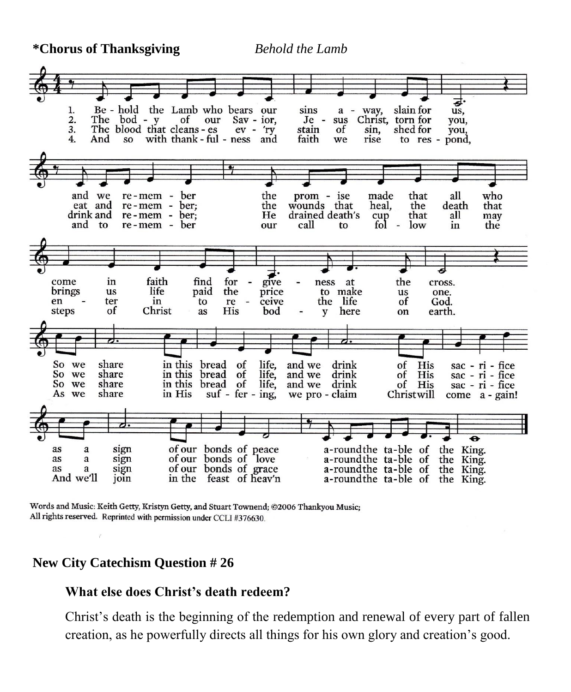**\*Chorus of Thanksgiving** *Behold the Lamb*



Words and Music: Keith Getty, Kristyn Getty, and Stuart Townend; ©2006 Thankyou Music; All rights reserved. Reprinted with permission under CCLI #376630.

#### **New City Catechism Question # 26**

#### **What else does Christ's death redeem?**

Christ's death is the beginning of the redemption and renewal of every part of fallen creation, as he powerfully directs all things for his own glory and creation's good.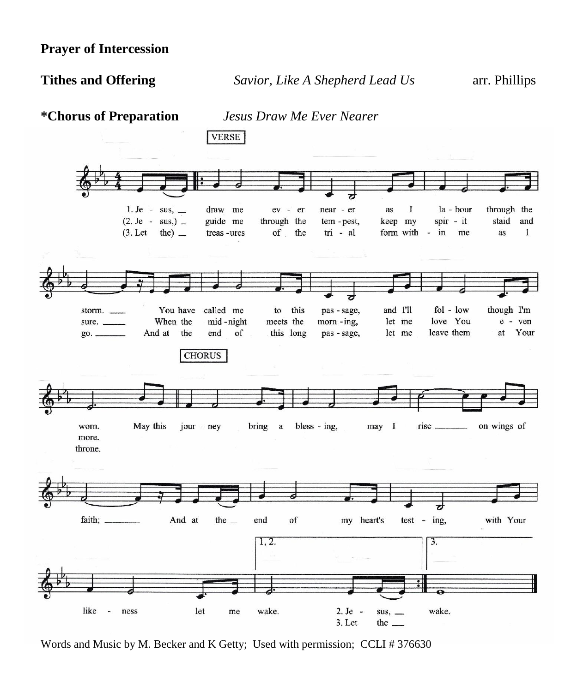**\*Chorus of Preparation** *Jesus Draw Me Ever Nearer*



Words and Music by M. Becker and K Getty; Used with permission; CCLI # 376630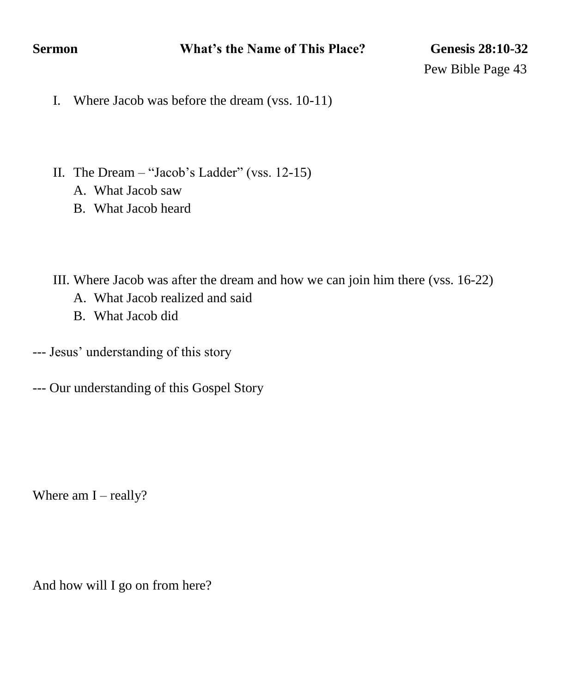Pew Bible Page 43

I. Where Jacob was before the dream (vss. 10-11)

II. The Dream – "Jacob's Ladder" (vss. 12-15) A. What Jacob saw B. What Jacob heard

III. Where Jacob was after the dream and how we can join him there (vss. 16-22)

- A. What Jacob realized and said
- B. What Jacob did

--- Jesus' understanding of this story

--- Our understanding of this Gospel Story

Where am  $I - really?$ 

And how will I go on from here?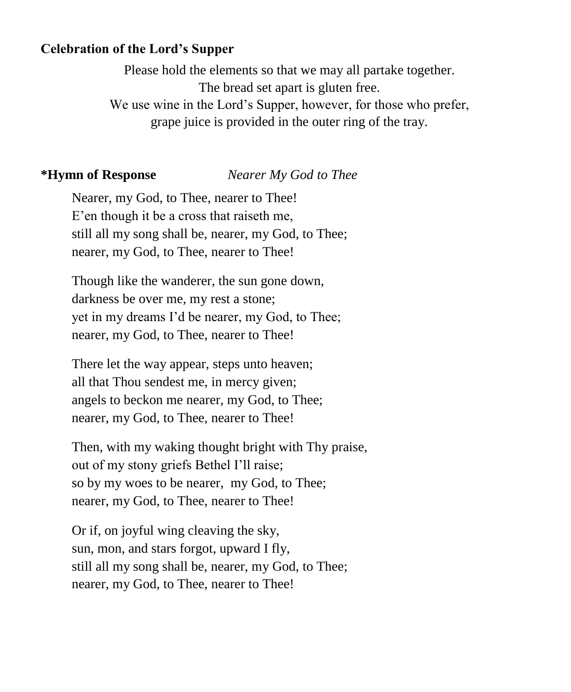#### **Celebration of the Lord's Supper**

Please hold the elements so that we may all partake together. The bread set apart is gluten free. We use wine in the Lord's Supper, however, for those who prefer, grape juice is provided in the outer ring of the tray.

### **\*Hymn of Response** *Nearer My God to Thee*

Nearer, my God, to Thee, nearer to Thee! E'en though it be a cross that raiseth me, still all my song shall be, nearer, my God, to Thee; nearer, my God, to Thee, nearer to Thee!

Though like the wanderer, the sun gone down, darkness be over me, my rest a stone; yet in my dreams I'd be nearer, my God, to Thee; nearer, my God, to Thee, nearer to Thee!

There let the way appear, steps unto heaven; all that Thou sendest me, in mercy given; angels to beckon me nearer, my God, to Thee; nearer, my God, to Thee, nearer to Thee!

Then, with my waking thought bright with Thy praise, out of my stony griefs Bethel I'll raise; so by my woes to be nearer, my God, to Thee; nearer, my God, to Thee, nearer to Thee!

Or if, on joyful wing cleaving the sky, sun, mon, and stars forgot, upward I fly, still all my song shall be, nearer, my God, to Thee; nearer, my God, to Thee, nearer to Thee!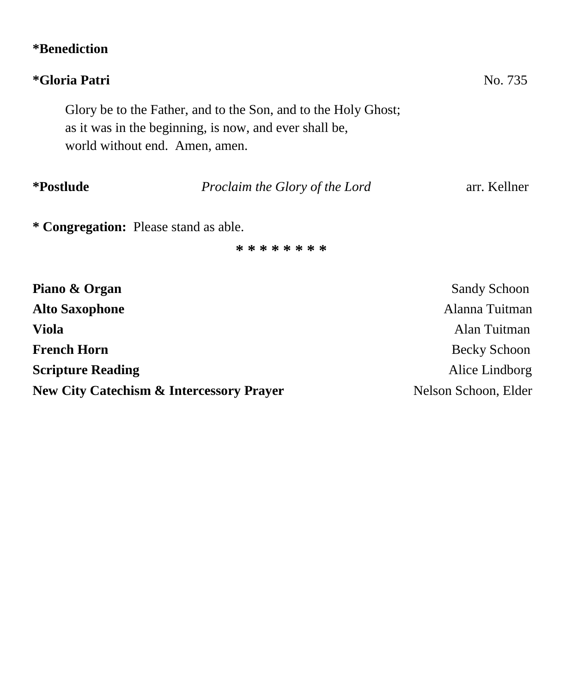# **\*Benediction \*Gloria Patri** No. 735 Glory be to the Father, and to the Son, and to the Holy Ghost; as it was in the beginning, is now, and ever shall be, world without end. Amen, amen. **\*Postlude** *Proclaim the Glory of the Lord* arr. Kellner **\* Congregation:** Please stand as able. **\* \* \* \* \* \* \* \* Piano & Organ Sandy Schoon Alto Saxophone** Alanna Tuitman **Viola Alan Tuitman French Horn** Becky Schoon **Scripture Reading Alice Lindborg Alice Lindborg New City Catechism & Intercessory Prayer** Nelson Schoon, Elder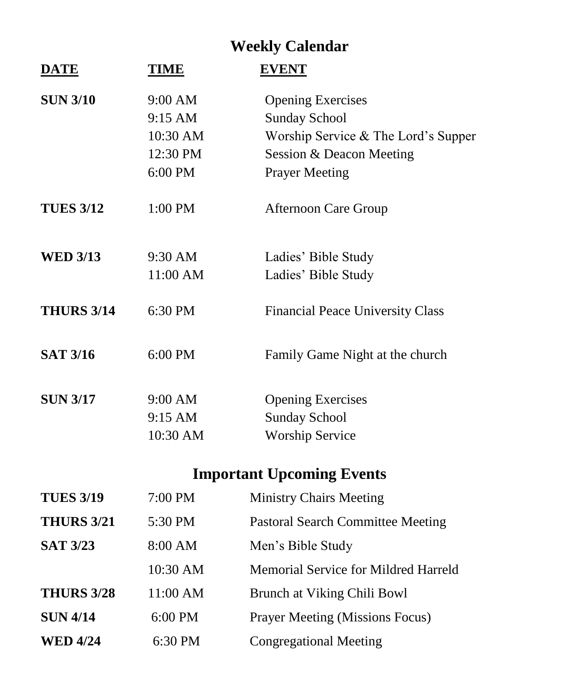## **Weekly Calendar**

| <b>DATE</b>       | <b>TIME</b>                      | <b>EVENT</b>                             |  |
|-------------------|----------------------------------|------------------------------------------|--|
| <b>SUN 3/10</b>   | 9:00 AM                          | <b>Opening Exercises</b>                 |  |
|                   | 9:15 AM                          | <b>Sunday School</b>                     |  |
|                   | 10:30 AM                         | Worship Service & The Lord's Supper      |  |
|                   | 12:30 PM                         | Session & Deacon Meeting                 |  |
|                   | 6:00 PM                          | <b>Prayer Meeting</b>                    |  |
| <b>TUES 3/12</b>  | 1:00 PM                          | <b>Afternoon Care Group</b>              |  |
| <b>WED 3/13</b>   | 9:30 AM                          | Ladies' Bible Study                      |  |
|                   | 11:00 AM                         | Ladies' Bible Study                      |  |
| <b>THURS 3/14</b> | 6:30 PM                          | <b>Financial Peace University Class</b>  |  |
| <b>SAT 3/16</b>   | 6:00 PM                          | Family Game Night at the church          |  |
| <b>SUN 3/17</b>   | 9:00 AM                          | <b>Opening Exercises</b>                 |  |
|                   | 9:15 AM                          | <b>Sunday School</b>                     |  |
|                   | 10:30 AM                         | <b>Worship Service</b>                   |  |
|                   | <b>Important Upcoming Events</b> |                                          |  |
| <b>TUES 3/19</b>  | 7:00 PM                          | <b>Ministry Chairs Meeting</b>           |  |
| <b>THURS 3/21</b> | 5:30 PM                          | <b>Pastoral Search Committee Meeting</b> |  |
| <b>SAT 3/23</b>   | 8:00 AM                          | Men's Bible Study                        |  |
|                   | 10:30 AM                         | Memorial Service for Mildred Harreld     |  |
| <b>THURS 3/28</b> | 11:00 AM                         | Brunch at Viking Chili Bowl              |  |
| <b>SUN 4/14</b>   | 6:00 PM                          | <b>Prayer Meeting (Missions Focus)</b>   |  |
| <b>WED 4/24</b>   | 6:30 PM                          | <b>Congregational Meeting</b>            |  |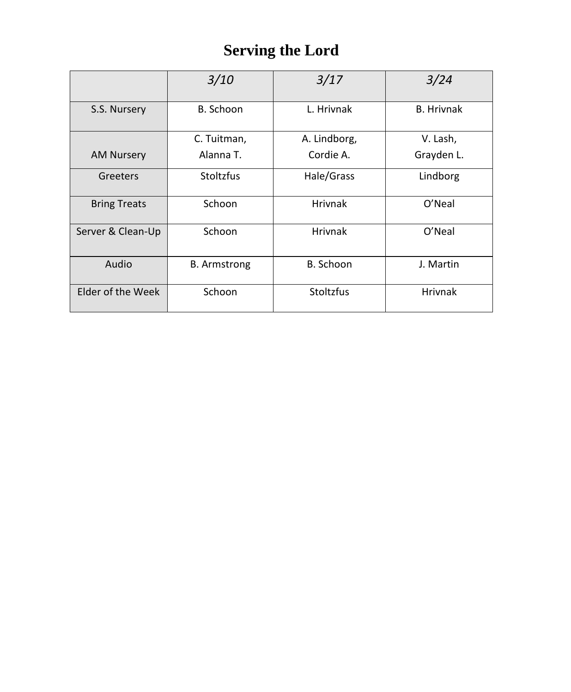## **Serving the Lord**

|                     | 3/10                | 3/17           | 3/24              |
|---------------------|---------------------|----------------|-------------------|
| S.S. Nursery        | B. Schoon           | L. Hrivnak     | <b>B.</b> Hrivnak |
|                     | C. Tuitman,         | A. Lindborg,   | V. Lash,          |
| <b>AM Nursery</b>   | Alanna T.           | Cordie A.      | Grayden L.        |
| Greeters            | Stoltzfus           | Hale/Grass     | Lindborg          |
| <b>Bring Treats</b> | Schoon              | <b>Hrivnak</b> | O'Neal            |
| Server & Clean-Up   | Schoon              | <b>Hrivnak</b> | O'Neal            |
| Audio               | <b>B.</b> Armstrong | B. Schoon      | J. Martin         |
| Elder of the Week   | Schoon              | Stoltzfus      | <b>Hrivnak</b>    |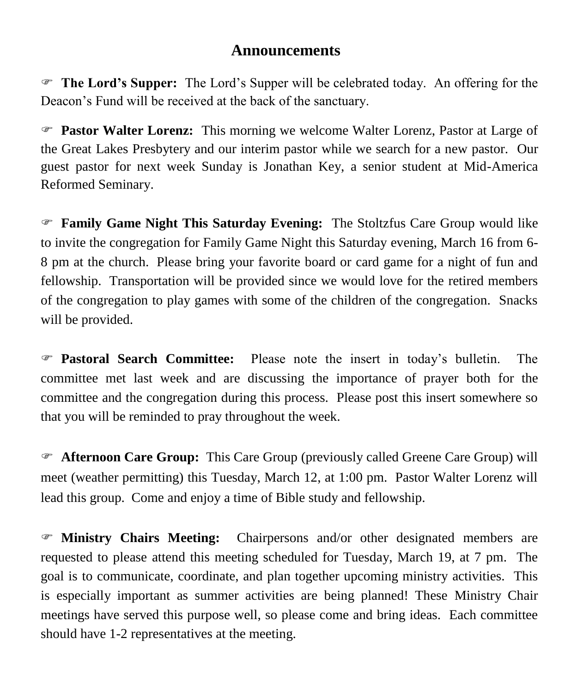### **Announcements**

 **The Lord's Supper:** The Lord's Supper will be celebrated today. An offering for the Deacon's Fund will be received at the back of the sanctuary.

 **Pastor Walter Lorenz:** This morning we welcome Walter Lorenz, Pastor at Large of the Great Lakes Presbytery and our interim pastor while we search for a new pastor. Our guest pastor for next week Sunday is Jonathan Key, a senior student at Mid-America Reformed Seminary.

 **Family Game Night This Saturday Evening:** The Stoltzfus Care Group would like to invite the congregation for Family Game Night this Saturday evening, March 16 from 6- 8 pm at the church. Please bring your favorite board or card game for a night of fun and fellowship. Transportation will be provided since we would love for the retired members of the congregation to play games with some of the children of the congregation. Snacks will be provided.

 **Pastoral Search Committee:** Please note the insert in today's bulletin. The committee met last week and are discussing the importance of prayer both for the committee and the congregation during this process. Please post this insert somewhere so that you will be reminded to pray throughout the week.

 **Afternoon Care Group:** This Care Group (previously called Greene Care Group) will meet (weather permitting) this Tuesday, March 12, at 1:00 pm. Pastor Walter Lorenz will lead this group. Come and enjoy a time of Bible study and fellowship.

 **Ministry Chairs Meeting:** Chairpersons and/or other designated members are requested to please attend this meeting scheduled for Tuesday, March 19, at 7 pm. The goal is to communicate, coordinate, and plan together upcoming ministry activities. This is especially important as summer activities are being planned! These Ministry Chair meetings have served this purpose well, so please come and bring ideas. Each committee should have 1-2 representatives at the meeting.